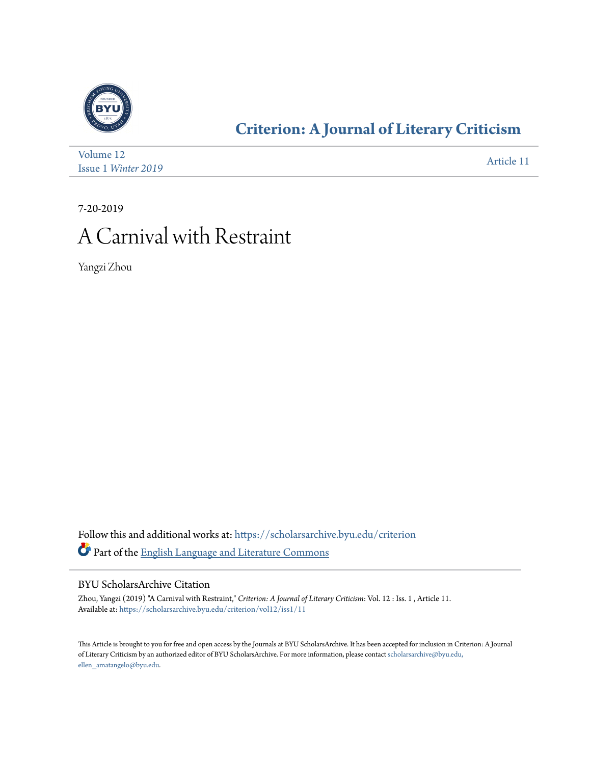

### **[Criterion: A Journal of Literary Criticism](https://scholarsarchive.byu.edu/criterion?utm_source=scholarsarchive.byu.edu%2Fcriterion%2Fvol12%2Fiss1%2F11&utm_medium=PDF&utm_campaign=PDFCoverPages)**

| Volume 12           | Article 11 |
|---------------------|------------|
| Issue 1 Winter 2019 |            |

7-20-2019

### A Carnival with Restraint

Yangzi Zhou

Follow this and additional works at: [https://scholarsarchive.byu.edu/criterion](https://scholarsarchive.byu.edu/criterion?utm_source=scholarsarchive.byu.edu%2Fcriterion%2Fvol12%2Fiss1%2F11&utm_medium=PDF&utm_campaign=PDFCoverPages) Part of the [English Language and Literature Commons](http://network.bepress.com/hgg/discipline/455?utm_source=scholarsarchive.byu.edu%2Fcriterion%2Fvol12%2Fiss1%2F11&utm_medium=PDF&utm_campaign=PDFCoverPages)

#### BYU ScholarsArchive Citation

Zhou, Yangzi (2019) "A Carnival with Restraint," *Criterion: A Journal of Literary Criticism*: Vol. 12 : Iss. 1 , Article 11. Available at: [https://scholarsarchive.byu.edu/criterion/vol12/iss1/11](https://scholarsarchive.byu.edu/criterion/vol12/iss1/11?utm_source=scholarsarchive.byu.edu%2Fcriterion%2Fvol12%2Fiss1%2F11&utm_medium=PDF&utm_campaign=PDFCoverPages)

This Article is brought to you for free and open access by the Journals at BYU ScholarsArchive. It has been accepted for inclusion in Criterion: A Journal of Literary Criticism by an authorized editor of BYU ScholarsArchive. For more information, please contact [scholarsarchive@byu.edu,](mailto:scholarsarchive@byu.edu,%20ellen_amatangelo@byu.edu) [ellen\\_amatangelo@byu.edu.](mailto:scholarsarchive@byu.edu,%20ellen_amatangelo@byu.edu)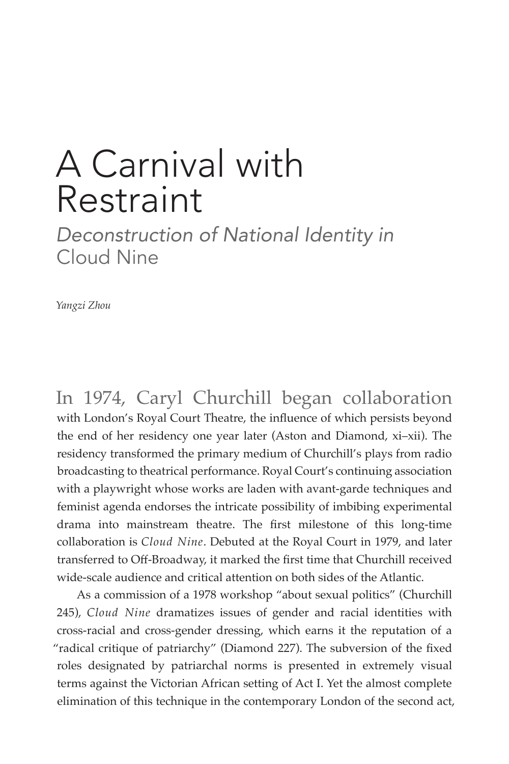# A Carnival with Restraint

*Deconstruction of National Identity in*  Cloud Nine

*Yangzi Zhou*

In 1974, Caryl Churchill began collaboration with London's Royal Court Theatre, the influence of which persists beyond the end of her residency one year later (Aston and Diamond, xi–xii). The residency transformed the primary medium of Churchill's plays from radio broadcasting to theatrical performance. Royal Court's continuing association with a playwright whose works are laden with avant-garde techniques and feminist agenda endorses the intricate possibility of imbibing experimental drama into mainstream theatre. The first milestone of this long-time collaboration is *Cloud Nine*. Debuted at the Royal Court in 1979, and later transferred to Off-Broadway, it marked the first time that Churchill received wide-scale audience and critical attention on both sides of the Atlantic.

As a commission of a 1978 workshop "about sexual politics" (Churchill 245), *Cloud Nine* dramatizes issues of gender and racial identities with cross-racial and cross-gender dressing, which earns it the reputation of a "radical critique of patriarchy" (Diamond 227). The subversion of the fixed roles designated by patriarchal norms is presented in extremely visual terms against the Victorian African setting of Act I. Yet the almost complete elimination of this technique in the contemporary London of the second act,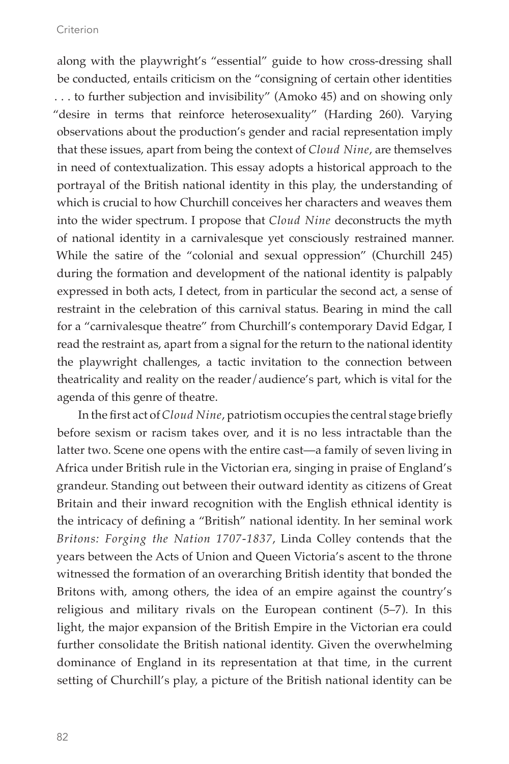along with the playwright's "essential" guide to how cross-dressing shall be conducted, entails criticism on the "consigning of certain other identities . . . to further subjection and invisibility" (Amoko 45) and on showing only "desire in terms that reinforce heterosexuality" (Harding 260). Varying observations about the production's gender and racial representation imply that these issues, apart from being the context of *Cloud Nine*, are themselves in need of contextualization. This essay adopts a historical approach to the portrayal of the British national identity in this play, the understanding of which is crucial to how Churchill conceives her characters and weaves them into the wider spectrum. I propose that *Cloud Nine* deconstructs the myth of national identity in a carnivalesque yet consciously restrained manner. While the satire of the "colonial and sexual oppression" (Churchill 245) during the formation and development of the national identity is palpably expressed in both acts, I detect, from in particular the second act, a sense of restraint in the celebration of this carnival status. Bearing in mind the call for a "carnivalesque theatre" from Churchill's contemporary David Edgar, I read the restraint as, apart from a signal for the return to the national identity the playwright challenges, a tactic invitation to the connection between theatricality and reality on the reader/audience's part, which is vital for the agenda of this genre of theatre.

In the first act of *Cloud Nine*, patriotism occupies the central stage briefly before sexism or racism takes over, and it is no less intractable than the latter two. Scene one opens with the entire cast—a family of seven living in Africa under British rule in the Victorian era, singing in praise of England's grandeur. Standing out between their outward identity as citizens of Great Britain and their inward recognition with the English ethnical identity is the intricacy of defining a "British" national identity. In her seminal work *Britons: Forging the Nation 1707-1837*, Linda Colley contends that the years between the Acts of Union and Queen Victoria's ascent to the throne witnessed the formation of an overarching British identity that bonded the Britons with, among others, the idea of an empire against the country's religious and military rivals on the European continent (5–7). In this light, the major expansion of the British Empire in the Victorian era could further consolidate the British national identity. Given the overwhelming dominance of England in its representation at that time, in the current setting of Churchill's play, a picture of the British national identity can be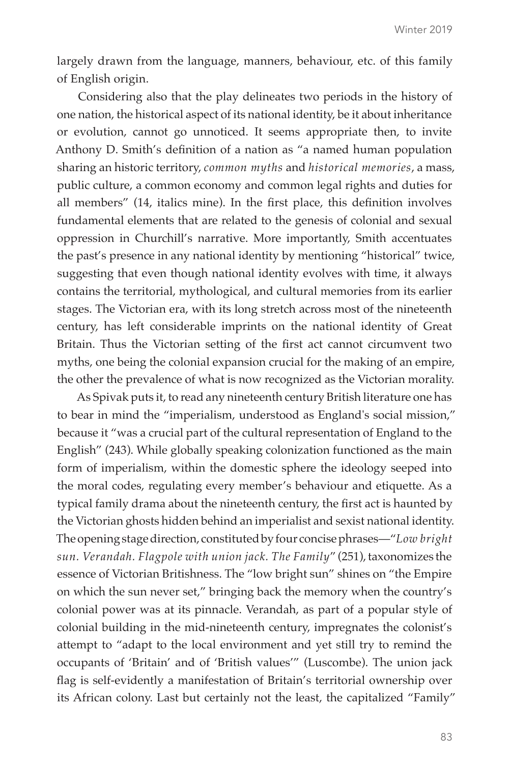largely drawn from the language, manners, behaviour, etc. of this family of English origin.

Considering also that the play delineates two periods in the history of one nation, the historical aspect of its national identity, be it about inheritance or evolution, cannot go unnoticed. It seems appropriate then, to invite Anthony D. Smith's definition of a nation as "a named human population sharing an historic territory, *common myths* and *historical memories*, a mass, public culture, a common economy and common legal rights and duties for all members" (14, italics mine). In the first place, this definition involves fundamental elements that are related to the genesis of colonial and sexual oppression in Churchill's narrative. More importantly, Smith accentuates the past's presence in any national identity by mentioning "historical" twice, suggesting that even though national identity evolves with time, it always contains the territorial, mythological, and cultural memories from its earlier stages. The Victorian era, with its long stretch across most of the nineteenth century, has left considerable imprints on the national identity of Great Britain. Thus the Victorian setting of the first act cannot circumvent two myths, one being the colonial expansion crucial for the making of an empire, the other the prevalence of what is now recognized as the Victorian morality.

As Spivak puts it, to read any nineteenth century British literature one has to bear in mind the "imperialism, understood as England's social mission," because it "was a crucial part of the cultural representation of England to the English" (243). While globally speaking colonization functioned as the main form of imperialism, within the domestic sphere the ideology seeped into the moral codes, regulating every member's behaviour and etiquette. As a typical family drama about the nineteenth century, the first act is haunted by the Victorian ghosts hidden behind an imperialist and sexist national identity. The opening stage direction, constituted by four concise phrases—"*Low bright sun. Verandah. Flagpole with union jack. The Family*" (251), taxonomizes the essence of Victorian Britishness. The "low bright sun" shines on "the Empire on which the sun never set," bringing back the memory when the country's colonial power was at its pinnacle. Verandah, as part of a popular style of colonial building in the mid-nineteenth century, impregnates the colonist's attempt to "adapt to the local environment and yet still try to remind the occupants of 'Britain' and of 'British values'" (Luscombe). The union jack flag is self-evidently a manifestation of Britain's territorial ownership over its African colony. Last but certainly not the least, the capitalized "Family"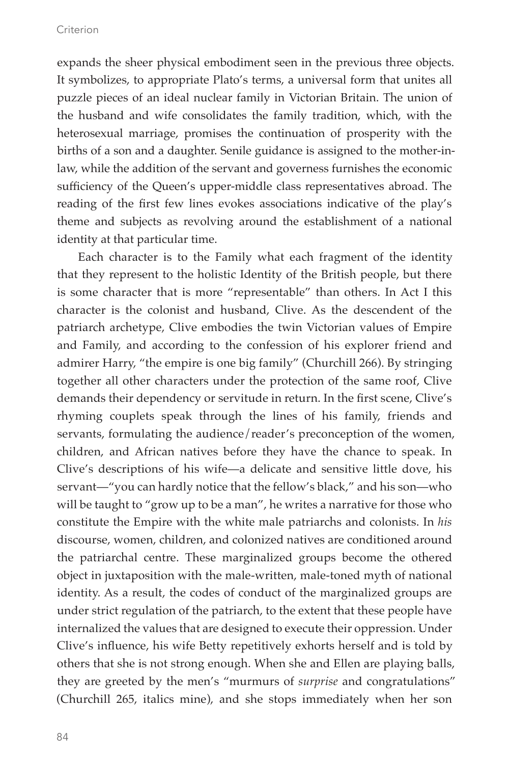expands the sheer physical embodiment seen in the previous three objects. It symbolizes, to appropriate Plato's terms, a universal form that unites all puzzle pieces of an ideal nuclear family in Victorian Britain. The union of the husband and wife consolidates the family tradition, which, with the heterosexual marriage, promises the continuation of prosperity with the births of a son and a daughter. Senile guidance is assigned to the mother-inlaw, while the addition of the servant and governess furnishes the economic sufficiency of the Queen's upper-middle class representatives abroad. The reading of the first few lines evokes associations indicative of the play's theme and subjects as revolving around the establishment of a national identity at that particular time.

Each character is to the Family what each fragment of the identity that they represent to the holistic Identity of the British people, but there is some character that is more "representable" than others. In Act I this character is the colonist and husband, Clive. As the descendent of the patriarch archetype, Clive embodies the twin Victorian values of Empire and Family, and according to the confession of his explorer friend and admirer Harry, "the empire is one big family" (Churchill 266). By stringing together all other characters under the protection of the same roof, Clive demands their dependency or servitude in return. In the first scene, Clive's rhyming couplets speak through the lines of his family, friends and servants, formulating the audience/reader's preconception of the women, children, and African natives before they have the chance to speak. In Clive's descriptions of his wife—a delicate and sensitive little dove, his servant—"you can hardly notice that the fellow's black," and his son—who will be taught to "grow up to be a man", he writes a narrative for those who constitute the Empire with the white male patriarchs and colonists. In *his* discourse, women, children, and colonized natives are conditioned around the patriarchal centre. These marginalized groups become the othered object in juxtaposition with the male-written, male-toned myth of national identity. As a result, the codes of conduct of the marginalized groups are under strict regulation of the patriarch, to the extent that these people have internalized the values that are designed to execute their oppression. Under Clive's influence, his wife Betty repetitively exhorts herself and is told by others that she is not strong enough. When she and Ellen are playing balls, they are greeted by the men's "murmurs of *surprise* and congratulations" (Churchill 265, italics mine), and she stops immediately when her son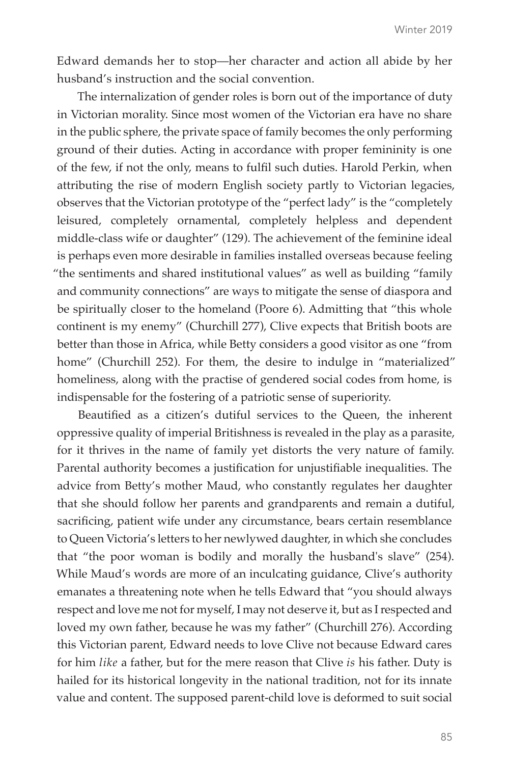Edward demands her to stop—her character and action all abide by her husband's instruction and the social convention.

The internalization of gender roles is born out of the importance of duty in Victorian morality. Since most women of the Victorian era have no share in the public sphere, the private space of family becomes the only performing ground of their duties. Acting in accordance with proper femininity is one of the few, if not the only, means to fulfil such duties. Harold Perkin, when attributing the rise of modern English society partly to Victorian legacies, observes that the Victorian prototype of the "perfect lady" is the "completely leisured, completely ornamental, completely helpless and dependent middle-class wife or daughter" (129). The achievement of the feminine ideal is perhaps even more desirable in families installed overseas because feeling "the sentiments and shared institutional values" as well as building "family and community connections" are ways to mitigate the sense of diaspora and be spiritually closer to the homeland (Poore 6). Admitting that "this whole continent is my enemy" (Churchill 277), Clive expects that British boots are better than those in Africa, while Betty considers a good visitor as one "from home" (Churchill 252). For them, the desire to indulge in "materialized" homeliness, along with the practise of gendered social codes from home, is indispensable for the fostering of a patriotic sense of superiority.

Beautified as a citizen's dutiful services to the Queen, the inherent oppressive quality of imperial Britishness is revealed in the play as a parasite, for it thrives in the name of family yet distorts the very nature of family. Parental authority becomes a justification for unjustifiable inequalities. The advice from Betty's mother Maud, who constantly regulates her daughter that she should follow her parents and grandparents and remain a dutiful, sacrificing, patient wife under any circumstance, bears certain resemblance to Queen Victoria's letters to her newlywed daughter, in which she concludes that "the poor woman is bodily and morally the husband's slave" (254). While Maud's words are more of an inculcating guidance, Clive's authority emanates a threatening note when he tells Edward that "you should always respect and love me not for myself, I may not deserve it, but as I respected and loved my own father, because he was my father" (Churchill 276). According this Victorian parent, Edward needs to love Clive not because Edward cares for him *like* a father, but for the mere reason that Clive *is* his father. Duty is hailed for its historical longevity in the national tradition, not for its innate value and content. The supposed parent-child love is deformed to suit social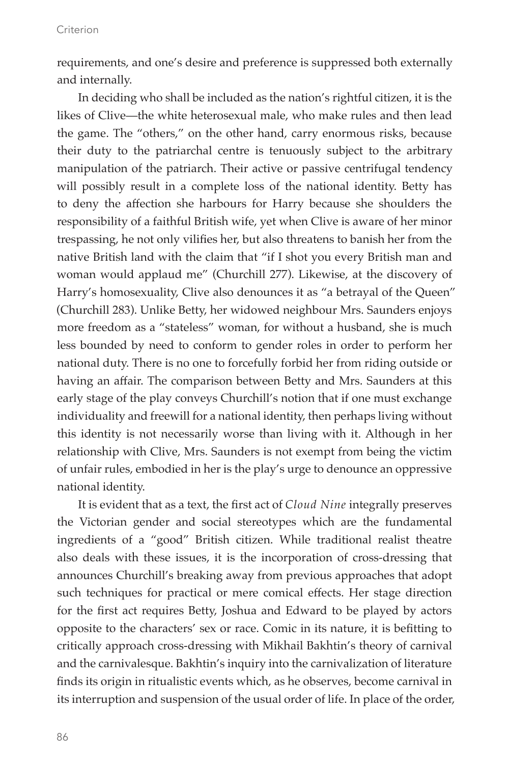requirements, and one's desire and preference is suppressed both externally and internally.

In deciding who shall be included as the nation's rightful citizen, it is the likes of Clive—the white heterosexual male, who make rules and then lead the game. The "others," on the other hand, carry enormous risks, because their duty to the patriarchal centre is tenuously subject to the arbitrary manipulation of the patriarch. Their active or passive centrifugal tendency will possibly result in a complete loss of the national identity. Betty has to deny the affection she harbours for Harry because she shoulders the responsibility of a faithful British wife, yet when Clive is aware of her minor trespassing, he not only vilifies her, but also threatens to banish her from the native British land with the claim that "if I shot you every British man and woman would applaud me" (Churchill 277). Likewise, at the discovery of Harry's homosexuality, Clive also denounces it as "a betrayal of the Queen" (Churchill 283). Unlike Betty, her widowed neighbour Mrs. Saunders enjoys more freedom as a "stateless" woman, for without a husband, she is much less bounded by need to conform to gender roles in order to perform her national duty. There is no one to forcefully forbid her from riding outside or having an affair. The comparison between Betty and Mrs. Saunders at this early stage of the play conveys Churchill's notion that if one must exchange individuality and freewill for a national identity, then perhaps living without this identity is not necessarily worse than living with it. Although in her relationship with Clive, Mrs. Saunders is not exempt from being the victim of unfair rules, embodied in her is the play's urge to denounce an oppressive national identity.

It is evident that as a text, the first act of *Cloud Nine* integrally preserves the Victorian gender and social stereotypes which are the fundamental ingredients of a "good" British citizen. While traditional realist theatre also deals with these issues, it is the incorporation of cross-dressing that announces Churchill's breaking away from previous approaches that adopt such techniques for practical or mere comical effects. Her stage direction for the first act requires Betty, Joshua and Edward to be played by actors opposite to the characters' sex or race. Comic in its nature, it is befitting to critically approach cross-dressing with Mikhail Bakhtin's theory of carnival and the carnivalesque. Bakhtin's inquiry into the carnivalization of literature finds its origin in ritualistic events which, as he observes, become carnival in its interruption and suspension of the usual order of life. In place of the order,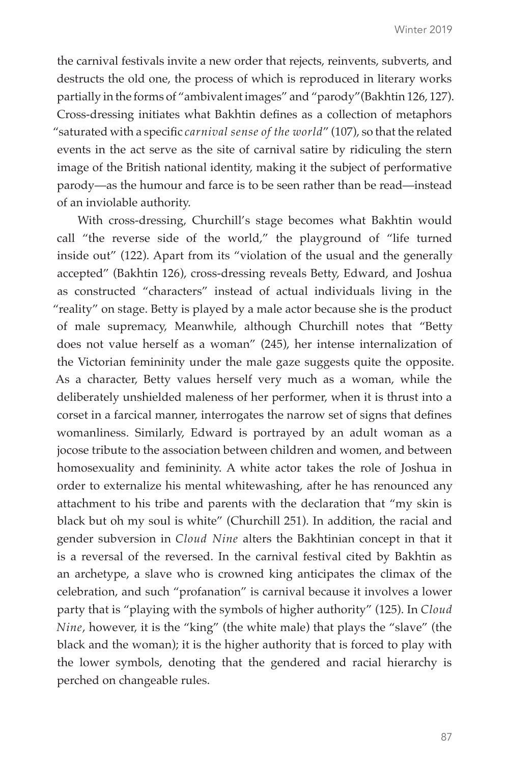the carnival festivals invite a new order that rejects, reinvents, subverts, and destructs the old one, the process of which is reproduced in literary works partially in the forms of "ambivalent images" and "parody"(Bakhtin 126, 127). Cross-dressing initiates what Bakhtin defines as a collection of metaphors "saturated with a specific *carnival sense of the world*" (107), so that the related events in the act serve as the site of carnival satire by ridiculing the stern image of the British national identity, making it the subject of performative parody—as the humour and farce is to be seen rather than be read—instead of an inviolable authority.

With cross-dressing, Churchill's stage becomes what Bakhtin would call "the reverse side of the world," the playground of "life turned inside out" (122). Apart from its "violation of the usual and the generally accepted" (Bakhtin 126), cross-dressing reveals Betty, Edward, and Joshua as constructed "characters" instead of actual individuals living in the "reality" on stage. Betty is played by a male actor because she is the product of male supremacy, Meanwhile, although Churchill notes that "Betty does not value herself as a woman" (245), her intense internalization of the Victorian femininity under the male gaze suggests quite the opposite. As a character, Betty values herself very much as a woman, while the deliberately unshielded maleness of her performer, when it is thrust into a corset in a farcical manner, interrogates the narrow set of signs that defines womanliness. Similarly, Edward is portrayed by an adult woman as a jocose tribute to the association between children and women, and between homosexuality and femininity. A white actor takes the role of Joshua in order to externalize his mental whitewashing, after he has renounced any attachment to his tribe and parents with the declaration that "my skin is black but oh my soul is white" (Churchill 251). In addition, the racial and gender subversion in *Cloud Nine* alters the Bakhtinian concept in that it is a reversal of the reversed. In the carnival festival cited by Bakhtin as an archetype, a slave who is crowned king anticipates the climax of the celebration, and such "profanation" is carnival because it involves a lower party that is "playing with the symbols of higher authority" (125). In *Cloud Nine*, however, it is the "king" (the white male) that plays the "slave" (the black and the woman); it is the higher authority that is forced to play with the lower symbols, denoting that the gendered and racial hierarchy is perched on changeable rules.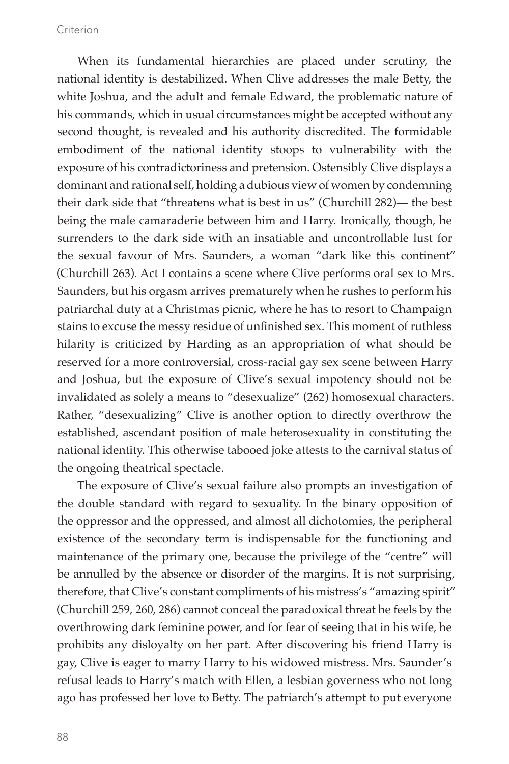When its fundamental hierarchies are placed under scrutiny, the national identity is destabilized. When Clive addresses the male Betty, the white Joshua, and the adult and female Edward, the problematic nature of his commands, which in usual circumstances might be accepted without any second thought, is revealed and his authority discredited. The formidable embodiment of the national identity stoops to vulnerability with the exposure of his contradictoriness and pretension. Ostensibly Clive displays a dominant and rational self, holding a dubious view of women by condemning their dark side that "threatens what is best in us" (Churchill 282)— the best being the male camaraderie between him and Harry. Ironically, though, he surrenders to the dark side with an insatiable and uncontrollable lust for the sexual favour of Mrs. Saunders, a woman "dark like this continent" (Churchill 263). Act I contains a scene where Clive performs oral sex to Mrs. Saunders, but his orgasm arrives prematurely when he rushes to perform his patriarchal duty at a Christmas picnic, where he has to resort to Champaign stains to excuse the messy residue of unfinished sex. This moment of ruthless hilarity is criticized by Harding as an appropriation of what should be reserved for a more controversial, cross-racial gay sex scene between Harry and Joshua, but the exposure of Clive's sexual impotency should not be invalidated as solely a means to "desexualize" (262) homosexual characters. Rather, "desexualizing" Clive is another option to directly overthrow the established, ascendant position of male heterosexuality in constituting the national identity. This otherwise tabooed joke attests to the carnival status of the ongoing theatrical spectacle.

The exposure of Clive's sexual failure also prompts an investigation of the double standard with regard to sexuality. In the binary opposition of the oppressor and the oppressed, and almost all dichotomies, the peripheral existence of the secondary term is indispensable for the functioning and maintenance of the primary one, because the privilege of the "centre" will be annulled by the absence or disorder of the margins. It is not surprising, therefore, that Clive's constant compliments of his mistress's "amazing spirit" (Churchill 259, 260, 286) cannot conceal the paradoxical threat he feels by the overthrowing dark feminine power, and for fear of seeing that in his wife, he prohibits any disloyalty on her part. After discovering his friend Harry is gay, Clive is eager to marry Harry to his widowed mistress. Mrs. Saunder's refusal leads to Harry's match with Ellen, a lesbian governess who not long ago has professed her love to Betty. The patriarch's attempt to put everyone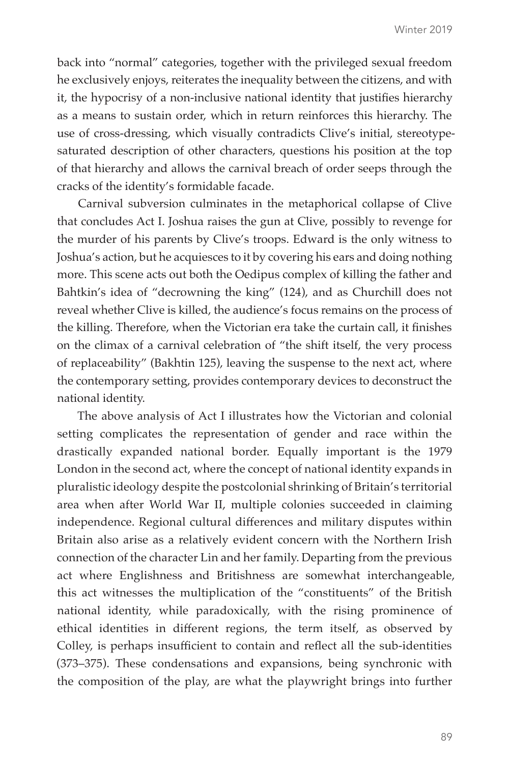back into "normal" categories, together with the privileged sexual freedom he exclusively enjoys, reiterates the inequality between the citizens, and with it, the hypocrisy of a non-inclusive national identity that justifies hierarchy as a means to sustain order, which in return reinforces this hierarchy. The use of cross-dressing, which visually contradicts Clive's initial, stereotypesaturated description of other characters, questions his position at the top of that hierarchy and allows the carnival breach of order seeps through the cracks of the identity's formidable facade.

Carnival subversion culminates in the metaphorical collapse of Clive that concludes Act I. Joshua raises the gun at Clive, possibly to revenge for the murder of his parents by Clive's troops. Edward is the only witness to Joshua's action, but he acquiesces to it by covering his ears and doing nothing more. This scene acts out both the Oedipus complex of killing the father and Bahtkin's idea of "decrowning the king" (124), and as Churchill does not reveal whether Clive is killed, the audience's focus remains on the process of the killing. Therefore, when the Victorian era take the curtain call, it finishes on the climax of a carnival celebration of "the shift itself, the very process of replaceability" (Bakhtin 125), leaving the suspense to the next act, where the contemporary setting, provides contemporary devices to deconstruct the national identity.

The above analysis of Act I illustrates how the Victorian and colonial setting complicates the representation of gender and race within the drastically expanded national border. Equally important is the 1979 London in the second act, where the concept of national identity expands in pluralistic ideology despite the postcolonial shrinking of Britain's territorial area when after World War II, multiple colonies succeeded in claiming independence. Regional cultural differences and military disputes within Britain also arise as a relatively evident concern with the Northern Irish connection of the character Lin and her family. Departing from the previous act where Englishness and Britishness are somewhat interchangeable, this act witnesses the multiplication of the "constituents" of the British national identity, while paradoxically, with the rising prominence of ethical identities in different regions, the term itself, as observed by Colley, is perhaps insufficient to contain and reflect all the sub-identities (373–375). These condensations and expansions, being synchronic with the composition of the play, are what the playwright brings into further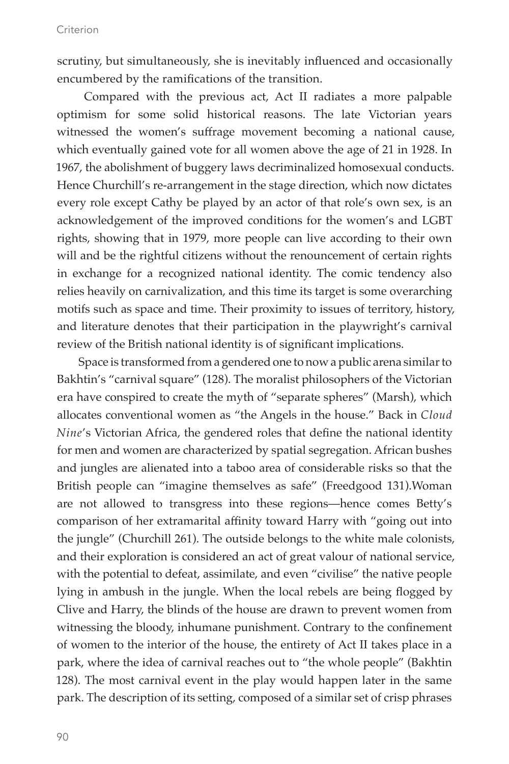scrutiny, but simultaneously, she is inevitably influenced and occasionally encumbered by the ramifications of the transition.

 Compared with the previous act, Act II radiates a more palpable optimism for some solid historical reasons. The late Victorian years witnessed the women's suffrage movement becoming a national cause, which eventually gained vote for all women above the age of 21 in 1928. In 1967, the abolishment of buggery laws decriminalized homosexual conducts. Hence Churchill's re-arrangement in the stage direction, which now dictates every role except Cathy be played by an actor of that role's own sex, is an acknowledgement of the improved conditions for the women's and LGBT rights, showing that in 1979, more people can live according to their own will and be the rightful citizens without the renouncement of certain rights in exchange for a recognized national identity. The comic tendency also relies heavily on carnivalization, and this time its target is some overarching motifs such as space and time. Their proximity to issues of territory, history, and literature denotes that their participation in the playwright's carnival review of the British national identity is of significant implications.

Space is transformed from a gendered one to now a public arena similar to Bakhtin's "carnival square" (128). The moralist philosophers of the Victorian era have conspired to create the myth of "separate spheres" (Marsh), which allocates conventional women as "the Angels in the house." Back in *Cloud Nine*'s Victorian Africa, the gendered roles that define the national identity for men and women are characterized by spatial segregation. African bushes and jungles are alienated into a taboo area of considerable risks so that the British people can "imagine themselves as safe" (Freedgood 131).Woman are not allowed to transgress into these regions—hence comes Betty's comparison of her extramarital affinity toward Harry with "going out into the jungle" (Churchill 261). The outside belongs to the white male colonists, and their exploration is considered an act of great valour of national service, with the potential to defeat, assimilate, and even "civilise" the native people lying in ambush in the jungle. When the local rebels are being flogged by Clive and Harry, the blinds of the house are drawn to prevent women from witnessing the bloody, inhumane punishment. Contrary to the confinement of women to the interior of the house, the entirety of Act II takes place in a park, where the idea of carnival reaches out to "the whole people" (Bakhtin 128). The most carnival event in the play would happen later in the same park. The description of its setting, composed of a similar set of crisp phrases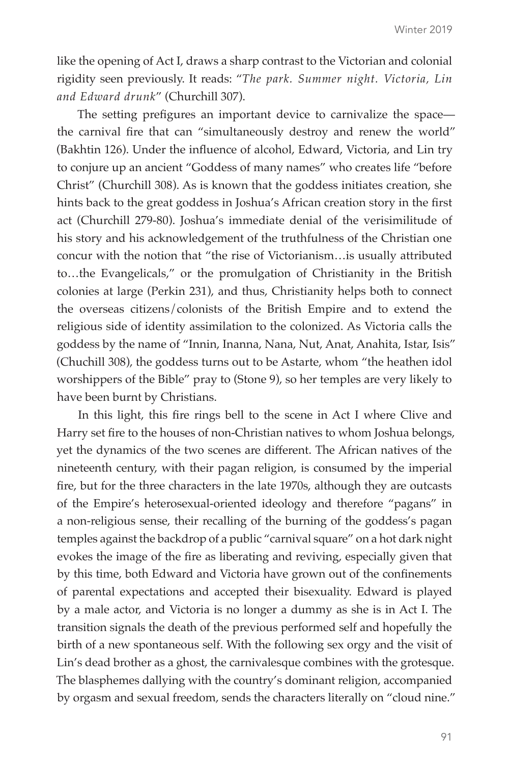like the opening of Act I, draws a sharp contrast to the Victorian and colonial rigidity seen previously. It reads: "*The park. Summer night. Victoria, Lin and Edward drunk*" (Churchill 307).

The setting prefigures an important device to carnivalize the space the carnival fire that can "simultaneously destroy and renew the world" (Bakhtin 126). Under the influence of alcohol, Edward, Victoria, and Lin try to conjure up an ancient "Goddess of many names" who creates life "before Christ" (Churchill 308). As is known that the goddess initiates creation, she hints back to the great goddess in Joshua's African creation story in the first act (Churchill 279-80). Joshua's immediate denial of the verisimilitude of his story and his acknowledgement of the truthfulness of the Christian one concur with the notion that "the rise of Victorianism…is usually attributed to…the Evangelicals," or the promulgation of Christianity in the British colonies at large (Perkin 231), and thus, Christianity helps both to connect the overseas citizens/colonists of the British Empire and to extend the religious side of identity assimilation to the colonized. As Victoria calls the goddess by the name of "Innin, Inanna, Nana, Nut, Anat, Anahita, Istar, Isis" (Chuchill 308), the goddess turns out to be Astarte, whom "the heathen idol worshippers of the Bible" pray to (Stone 9), so her temples are very likely to have been burnt by Christians.

In this light, this fire rings bell to the scene in Act I where Clive and Harry set fire to the houses of non-Christian natives to whom Joshua belongs, yet the dynamics of the two scenes are different. The African natives of the nineteenth century, with their pagan religion, is consumed by the imperial fire, but for the three characters in the late 1970s, although they are outcasts of the Empire's heterosexual-oriented ideology and therefore "pagans" in a non-religious sense, their recalling of the burning of the goddess's pagan temples against the backdrop of a public "carnival square" on a hot dark night evokes the image of the fire as liberating and reviving, especially given that by this time, both Edward and Victoria have grown out of the confinements of parental expectations and accepted their bisexuality. Edward is played by a male actor, and Victoria is no longer a dummy as she is in Act I. The transition signals the death of the previous performed self and hopefully the birth of a new spontaneous self. With the following sex orgy and the visit of Lin's dead brother as a ghost, the carnivalesque combines with the grotesque. The blasphemes dallying with the country's dominant religion, accompanied by orgasm and sexual freedom, sends the characters literally on "cloud nine."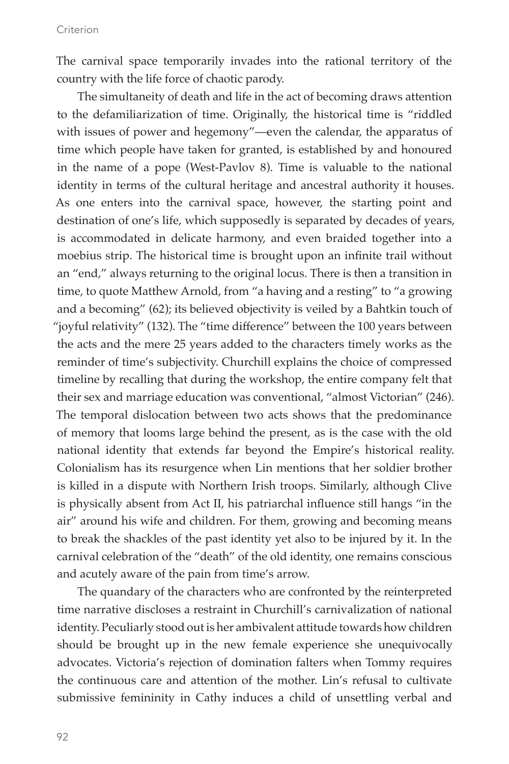The carnival space temporarily invades into the rational territory of the country with the life force of chaotic parody.

The simultaneity of death and life in the act of becoming draws attention to the defamiliarization of time. Originally, the historical time is "riddled with issues of power and hegemony"—even the calendar, the apparatus of time which people have taken for granted, is established by and honoured in the name of a pope (West-Pavlov 8). Time is valuable to the national identity in terms of the cultural heritage and ancestral authority it houses. As one enters into the carnival space, however, the starting point and destination of one's life, which supposedly is separated by decades of years, is accommodated in delicate harmony, and even braided together into a moebius strip. The historical time is brought upon an infinite trail without an "end," always returning to the original locus. There is then a transition in time, to quote Matthew Arnold, from "a having and a resting" to "a growing and a becoming" (62); its believed objectivity is veiled by a Bahtkin touch of "joyful relativity" (132). The "time difference" between the 100 years between the acts and the mere 25 years added to the characters timely works as the reminder of time's subjectivity. Churchill explains the choice of compressed timeline by recalling that during the workshop, the entire company felt that their sex and marriage education was conventional, "almost Victorian" (246). The temporal dislocation between two acts shows that the predominance of memory that looms large behind the present, as is the case with the old national identity that extends far beyond the Empire's historical reality. Colonialism has its resurgence when Lin mentions that her soldier brother is killed in a dispute with Northern Irish troops. Similarly, although Clive is physically absent from Act II, his patriarchal influence still hangs "in the air" around his wife and children. For them, growing and becoming means to break the shackles of the past identity yet also to be injured by it. In the carnival celebration of the "death" of the old identity, one remains conscious and acutely aware of the pain from time's arrow.

The quandary of the characters who are confronted by the reinterpreted time narrative discloses a restraint in Churchill's carnivalization of national identity. Peculiarly stood out is her ambivalent attitude towards how children should be brought up in the new female experience she unequivocally advocates. Victoria's rejection of domination falters when Tommy requires the continuous care and attention of the mother. Lin's refusal to cultivate submissive femininity in Cathy induces a child of unsettling verbal and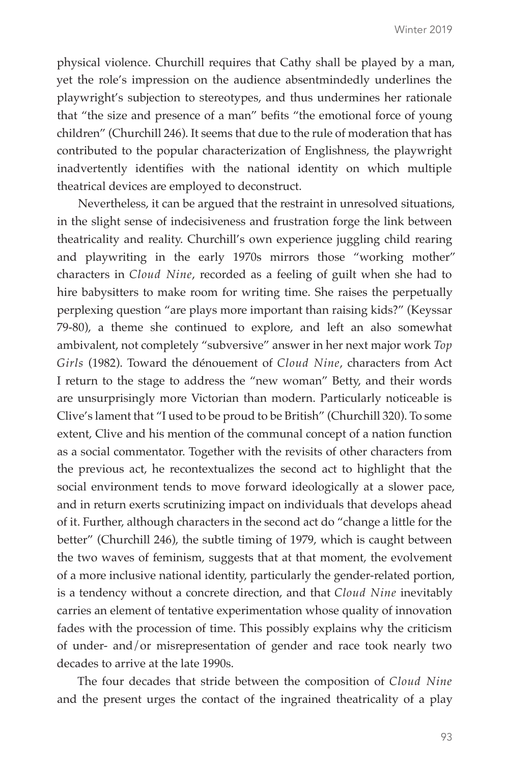physical violence. Churchill requires that Cathy shall be played by a man, yet the role's impression on the audience absentmindedly underlines the playwright's subjection to stereotypes, and thus undermines her rationale that "the size and presence of a man" befits "the emotional force of young children" (Churchill 246). It seems that due to the rule of moderation that has contributed to the popular characterization of Englishness, the playwright inadvertently identifies with the national identity on which multiple theatrical devices are employed to deconstruct.

Nevertheless, it can be argued that the restraint in unresolved situations, in the slight sense of indecisiveness and frustration forge the link between theatricality and reality. Churchill's own experience juggling child rearing and playwriting in the early 1970s mirrors those "working mother" characters in *Cloud Nine*, recorded as a feeling of guilt when she had to hire babysitters to make room for writing time. She raises the perpetually perplexing question "are plays more important than raising kids?" (Keyssar 79-80), a theme she continued to explore, and left an also somewhat ambivalent, not completely "subversive" answer in her next major work *Top Girls* (1982). Toward the dénouement of *Cloud Nine*, characters from Act I return to the stage to address the "new woman" Betty, and their words are unsurprisingly more Victorian than modern. Particularly noticeable is Clive's lament that "I used to be proud to be British" (Churchill 320). To some extent, Clive and his mention of the communal concept of a nation function as a social commentator. Together with the revisits of other characters from the previous act, he recontextualizes the second act to highlight that the social environment tends to move forward ideologically at a slower pace, and in return exerts scrutinizing impact on individuals that develops ahead of it. Further, although characters in the second act do "change a little for the better" (Churchill 246), the subtle timing of 1979, which is caught between the two waves of feminism, suggests that at that moment, the evolvement of a more inclusive national identity, particularly the gender-related portion, is a tendency without a concrete direction, and that *Cloud Nine* inevitably carries an element of tentative experimentation whose quality of innovation fades with the procession of time. This possibly explains why the criticism of under- and/or misrepresentation of gender and race took nearly two decades to arrive at the late 1990s.

The four decades that stride between the composition of *Cloud Nine*  and the present urges the contact of the ingrained theatricality of a play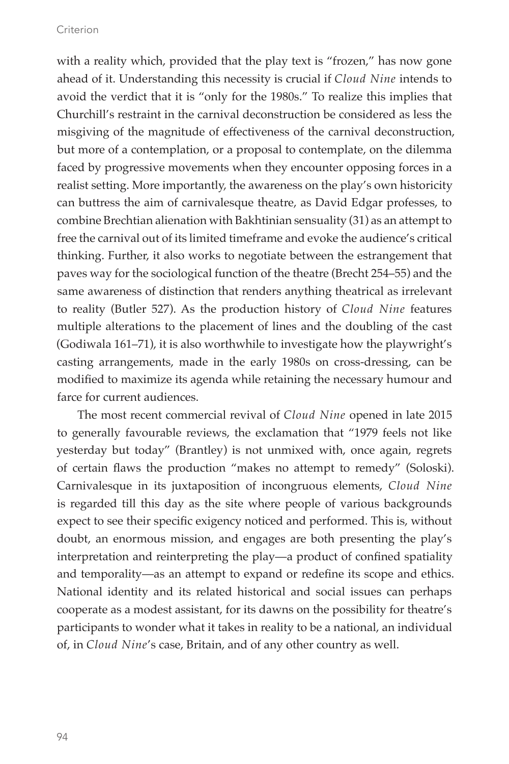with a reality which, provided that the play text is "frozen," has now gone ahead of it. Understanding this necessity is crucial if *Cloud Nine* intends to avoid the verdict that it is "only for the 1980s." To realize this implies that Churchill's restraint in the carnival deconstruction be considered as less the misgiving of the magnitude of effectiveness of the carnival deconstruction, but more of a contemplation, or a proposal to contemplate, on the dilemma faced by progressive movements when they encounter opposing forces in a realist setting. More importantly, the awareness on the play's own historicity can buttress the aim of carnivalesque theatre, as David Edgar professes, to combine Brechtian alienation with Bakhtinian sensuality (31) as an attempt to free the carnival out of its limited timeframe and evoke the audience's critical thinking. Further, it also works to negotiate between the estrangement that paves way for the sociological function of the theatre (Brecht 254–55) and the same awareness of distinction that renders anything theatrical as irrelevant to reality (Butler 527). As the production history of *Cloud Nine* features multiple alterations to the placement of lines and the doubling of the cast (Godiwala 161–71), it is also worthwhile to investigate how the playwright's casting arrangements, made in the early 1980s on cross-dressing, can be modified to maximize its agenda while retaining the necessary humour and farce for current audiences.

The most recent commercial revival of *Cloud Nine* opened in late 2015 to generally favourable reviews, the exclamation that "1979 feels not like yesterday but today" (Brantley) is not unmixed with, once again, regrets of certain flaws the production "makes no attempt to remedy" (Soloski). Carnivalesque in its juxtaposition of incongruous elements, *Cloud Nine*  is regarded till this day as the site where people of various backgrounds expect to see their specific exigency noticed and performed. This is, without doubt, an enormous mission, and engages are both presenting the play's interpretation and reinterpreting the play—a product of confined spatiality and temporality—as an attempt to expand or redefine its scope and ethics. National identity and its related historical and social issues can perhaps cooperate as a modest assistant, for its dawns on the possibility for theatre's participants to wonder what it takes in reality to be a national, an individual of, in *Cloud Nine*'s case, Britain, and of any other country as well.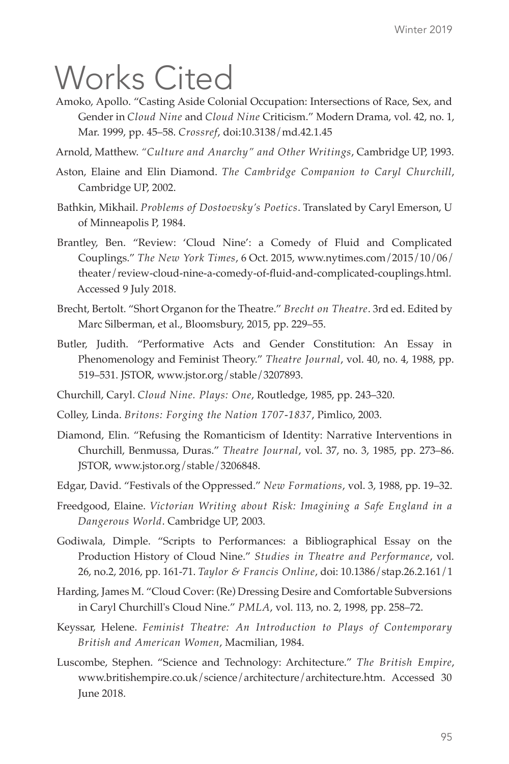## Works Cited

- Amoko, Apollo. "Casting Aside Colonial Occupation: Intersections of Race, Sex, and Gender in *Cloud Nine* and *Cloud Nine* Criticism." Modern Drama, vol. 42, no. 1, Mar. 1999, pp. 45–58. *Crossref*, doi:10.3138/md.42.1.45
- Arnold, Matthew. *"Culture and Anarchy" and Other Writings*, Cambridge UP, 1993.
- Aston, Elaine and Elin Diamond. *The Cambridge Companion to Caryl Churchill*, Cambridge UP, 2002.
- Bathkin, Mikhail. *Problems of Dostoevsky's Poetics*. Translated by Caryl Emerson, U of Minneapolis P, 1984.
- Brantley, Ben. "Review: 'Cloud Nine': a Comedy of Fluid and Complicated Couplings." *The New York Times*, 6 Oct. 2015, www.nytimes.com/2015/10/06/ theater/review-cloud-nine-a-comedy-of-fluid-and-complicated-couplings.html. Accessed 9 July 2018.
- Brecht, Bertolt. "Short Organon for the Theatre." *Brecht on Theatre*. 3rd ed. Edited by Marc Silberman, et al., Bloomsbury, 2015, pp. 229–55.
- Butler, Judith. "Performative Acts and Gender Constitution: An Essay in Phenomenology and Feminist Theory." *Theatre Journal*, vol. 40, no. 4, 1988, pp. 519–531. JSTOR, www.jstor.org/stable/3207893.
- Churchill, Caryl. *Cloud Nine. Plays: One*, Routledge, 1985, pp. 243–320.
- Colley, Linda. *Britons: Forging the Nation 1707-1837*, Pimlico, 2003.
- Diamond, Elin. "Refusing the Romanticism of Identity: Narrative Interventions in Churchill, Benmussa, Duras." *Theatre Journal*, vol. 37, no. 3, 1985, pp. 273–86. JSTOR, www.jstor.org/stable/3206848.
- Edgar, David. "Festivals of the Oppressed." *New Formations*, vol. 3, 1988, pp. 19–32.
- Freedgood, Elaine. *Victorian Writing about Risk: Imagining a Safe England in a Dangerous World*. Cambridge UP, 2003.
- Godiwala, Dimple. "Scripts to Performances: a Bibliographical Essay on the Production History of Cloud Nine." *Studies in Theatre and Performance*, vol. 26, no.2, 2016, pp. 161-71. *Taylor & Francis Online*, doi: 10.1386/stap.26.2.161/1
- Harding, James M. "Cloud Cover: (Re) Dressing Desire and Comfortable Subversions in Caryl Churchill's Cloud Nine." *PMLA*, vol. 113, no. 2, 1998, pp. 258–72.
- Keyssar, Helene. *Feminist Theatre: An Introduction to Plays of Contemporary British and American Women*, Macmilian, 1984.
- Luscombe, Stephen. "Science and Technology: Architecture." *The British Empire*, www.britishempire.co.uk/science/architecture/architecture.htm. Accessed 30 June 2018.